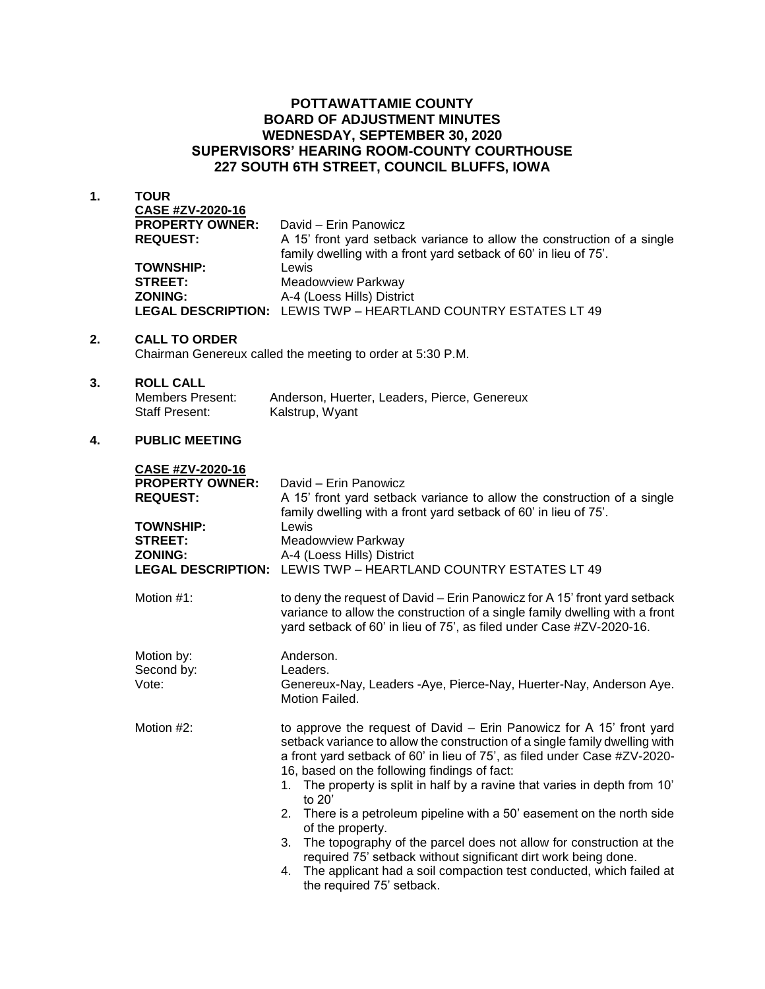## **POTTAWATTAMIE COUNTY BOARD OF ADJUSTMENT MINUTES WEDNESDAY, SEPTEMBER 30, 2020 SUPERVISORS' HEARING ROOM-COUNTY COURTHOUSE 227 SOUTH 6TH STREET, COUNCIL BLUFFS, IOWA**

**1. TOUR**

| CASE #ZV-2020-16       |                                                                         |
|------------------------|-------------------------------------------------------------------------|
| <b>PROPERTY OWNER:</b> | David - Erin Panowicz                                                   |
| <b>REQUEST:</b>        | A 15' front yard setback variance to allow the construction of a single |
|                        | family dwelling with a front yard setback of 60' in lieu of 75'.        |
| <b>TOWNSHIP:</b>       | Lewis                                                                   |
| <b>STREET:</b>         | Meadowview Parkway                                                      |
| <b>ZONING:</b>         | A-4 (Loess Hills) District                                              |
|                        | <b>LEGAL DESCRIPTION: LEWIS TWP - HEARTLAND COUNTRY ESTATES LT 49</b>   |

#### **2. CALL TO ORDER**

Chairman Genereux called the meeting to order at 5:30 P.M.

#### **3. ROLL CALL**

| Members Present: | Anderson, Huerter, Leaders, Pierce, Genereux |
|------------------|----------------------------------------------|
| Staff Present:   | Kalstrup, Wyant                              |

### **4. PUBLIC MEETING**

| CASE #ZV-2020-16<br><b>PROPERTY OWNER:</b><br><b>REQUEST:</b><br><b>TOWNSHIP:</b><br><b>STREET:</b><br><b>ZONING:</b><br><b>LEGAL DESCRIPTION:</b> | David - Erin Panowicz<br>A 15' front yard setback variance to allow the construction of a single<br>family dwelling with a front yard setback of 60' in lieu of 75'.<br>Lewis<br><b>Meadowview Parkway</b><br>A-4 (Loess Hills) District<br>LEWIS TWP - HEARTLAND COUNTRY ESTATES LT 49                                                                                                                                                                                                                                                                                                                                                                                                                                     |
|----------------------------------------------------------------------------------------------------------------------------------------------------|-----------------------------------------------------------------------------------------------------------------------------------------------------------------------------------------------------------------------------------------------------------------------------------------------------------------------------------------------------------------------------------------------------------------------------------------------------------------------------------------------------------------------------------------------------------------------------------------------------------------------------------------------------------------------------------------------------------------------------|
| Motion #1:                                                                                                                                         | to deny the request of David - Erin Panowicz for A 15' front yard setback<br>variance to allow the construction of a single family dwelling with a front<br>yard setback of 60' in lieu of 75', as filed under Case #ZV-2020-16.                                                                                                                                                                                                                                                                                                                                                                                                                                                                                            |
| Motion by:<br>Second by:<br>Vote:                                                                                                                  | Anderson.<br>Leaders.<br>Genereux-Nay, Leaders -Aye, Pierce-Nay, Huerter-Nay, Anderson Aye.<br>Motion Failed.                                                                                                                                                                                                                                                                                                                                                                                                                                                                                                                                                                                                               |
| Motion #2:                                                                                                                                         | to approve the request of David - Erin Panowicz for A 15' front yard<br>setback variance to allow the construction of a single family dwelling with<br>a front yard setback of 60' in lieu of 75', as filed under Case #ZV-2020-<br>16, based on the following findings of fact:<br>1. The property is split in half by a ravine that varies in depth from 10'<br>to $20'$<br>2. There is a petroleum pipeline with a 50' easement on the north side<br>of the property.<br>3. The topography of the parcel does not allow for construction at the<br>required 75' setback without significant dirt work being done.<br>4. The applicant had a soil compaction test conducted, which failed at<br>the required 75' setback. |